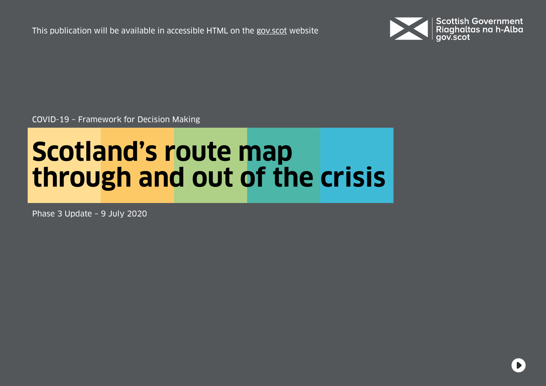This publication will be available in accessible HTML on the [gov.scot](https://www.gov.scot/isbn/9781839608742) website



COVID-19 – Framework for Decision Making

# **Scotland's route map through and out of the crisis**

Phase 3 Update – 9 July 2020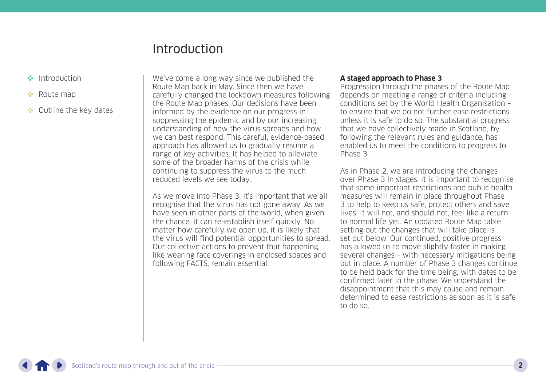### Introduction

- <span id="page-1-0"></span>Introduction
- **••** [Route map](#page-5-0)
- •• [Outline the key dates](#page-15-0)

We've come a long way since we published the Route Map back in May. Since then we have carefully changed the lockdown measures following the Route Map phases. Our decisions have been informed by the evidence on our progress in suppressing the epidemic and by our increasing understanding of how the virus spreads and how we can best respond. This careful, evidence-based approach has allowed us to gradually resume a range of key activities. It has helped to alleviate some of the broader harms of the crisis while continuing to suppress the virus to the much reduced levels we see today.

As we move into Phase 3, it's important that we all recognise that the virus has not gone away. As we have seen in other parts of the world, when given the chance, it can re-establish itself quickly. No matter how carefully we open up, it is likely that the virus will find potential opportunities to spread. Our collective actions to prevent that happening, like wearing face coverings in enclosed spaces and following FACTS, remain essential.

#### **A staged approach to Phase 3**

Progression through the phases of the Route Map depends on meeting a range of criteria including conditions set by the World Health Organisation – to ensure that we do not further ease restrictions unless it is safe to do so. The substantial progress that we have collectively made in Scotland, by following the relevant rules and guidance, has enabled us to meet the conditions to progress to Phase 3.

As in Phase 2, we are introducing the changes over Phase 3 in stages. It is important to recognise that some important restrictions and public health measures will remain in place throughout Phase 3 to help to keep us safe, protect others and save lives. It will not, and should not, feel like a return to normal life yet. An updated Route Map table setting out the changes that will take place is set out below. Our continued, positive progress has allowed us to move slightly faster in making several changes – with necessary mitigations being put in place. A number of Phase 3 changes continue to be held back for the time being, with dates to be confirmed later in the phase. We understand the disappointment that this may cause and remain determined to ease restrictions as soon as it is safe to do so.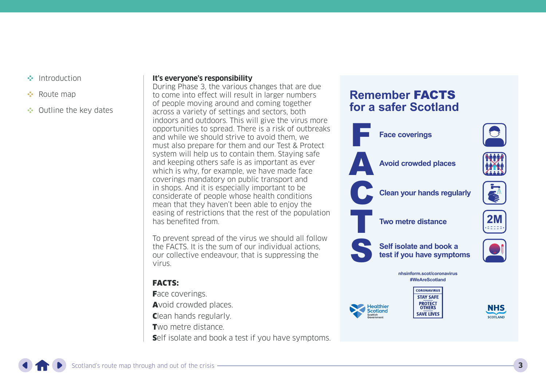- [Introduction](#page-1-0)
- **••** [Route map](#page-5-0)
- •• [Outline the key dates](#page-15-0)

#### **It's everyone's responsibility**

During Phase 3, the various changes that are due to come into effect will result in larger numbers of people moving around and coming together across a variety of settings and sectors, both indoors and outdoors. This will give the virus more opportunities to spread. There is a risk of outbreaks and while we should strive to avoid them, we must also prepare for them and our Test & Protect system will help us to contain them. Staying safe and keeping others safe is as important as ever which is why, for example, we have made face coverings mandatory on public transport and in shops. And it is especially important to be considerate of people whose health conditions mean that they haven't been able to enjoy the easing of restrictions that the rest of the population has benefited from.

To prevent spread of the virus we should all follow the FACTS. It is the sum of our individual actions, our collective endeavour, that is suppressing the virus.

### FACTS:

**Face coverings.** Avoid crowded places. Clean hands regularly. Two metre distance. Self isolate and book a test if you have symptoms.

### **Remember** FACTS **for a safer Scotland**



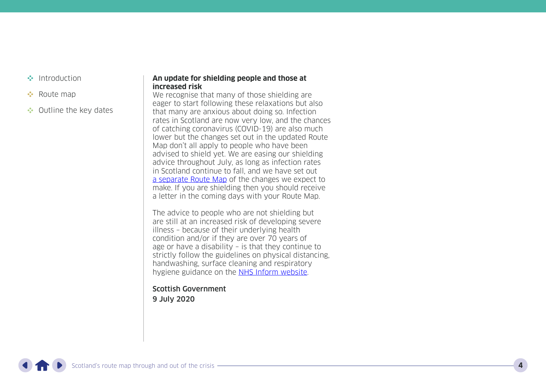- [Introduction](#page-1-0)
- **[Route map](#page-5-0)**
- •• [Outline the key dates](#page-15-0)

#### **An update for shielding people and those at increased risk**

We recognise that many of those shielding are eager to start following these relaxations but also that many are anxious about doing so. Infection rates in Scotland are now very low, and the chances of catching coronavirus (COVID-19) are also much lower but the changes set out in the updated Route Map don't all apply to people who have been advised to shield yet. We are easing our shielding advice throughout July, as long as infection rates<br>in Scotland continue to fall, and we have set out [a](https://www.gov.scot/publications/covid-shielding/pages/overview/) separate Route Map of the changes we expect to make. If you are shielding then you should receive a letter in the coming days with your Route Map.

The advice to people who are not shielding but are still at an increased risk of developing severe illness – because of their underlying health condition and/or if they are over 70 years of age or have a disability – is that they continue to strictly follow the guidelines on physical distancing, handwashing, surface cleaning and respiratory hygiene guidance on the <u>[NHS Inform website](https://www.nhsinform.scot/illnesses-and-conditions/infections-and-poisoning/coronavirus-covid-19/coronavirus-covid-19-physical-distancing)</u>.

Scottish Government 9 July 2020

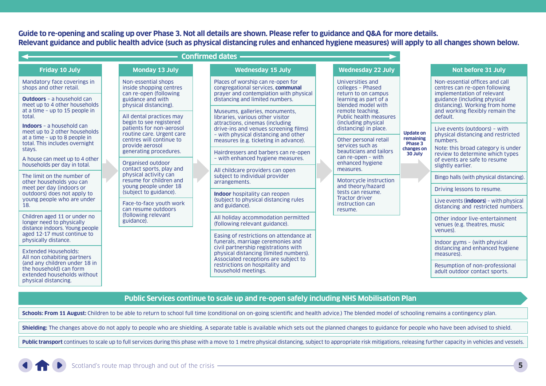**Guide to re-opening and scaling up over Phase 3. Not all details are shown. Please refer to guidance and Q&A for more details. Relevant guidance and public health advice (such as physical distancing rules and enhanced hygiene measures) will apply to all changes shown below.**

| <b>Confirmed dates</b>                                                                                                                             |                                                                       |                                                                      |                                                                               |                                                                                                                          |                                                                                                                                                                                  |                                                                                                                                           |                                                                                   |                                                                                               |
|----------------------------------------------------------------------------------------------------------------------------------------------------|-----------------------------------------------------------------------|----------------------------------------------------------------------|-------------------------------------------------------------------------------|--------------------------------------------------------------------------------------------------------------------------|----------------------------------------------------------------------------------------------------------------------------------------------------------------------------------|-------------------------------------------------------------------------------------------------------------------------------------------|-----------------------------------------------------------------------------------|-----------------------------------------------------------------------------------------------|
| <b>Friday 10 July</b>                                                                                                                              |                                                                       | <b>Monday 13 July</b>                                                |                                                                               | <b>Wednesday 15 July</b>                                                                                                 |                                                                                                                                                                                  | <b>Wednesday 22 July</b>                                                                                                                  |                                                                                   | Not before 31 July                                                                            |
| Mandatory face coverings in<br>shops and other retail.                                                                                             |                                                                       | Non-essential shops<br>inside shopping centres                       |                                                                               | Places of worship can re-open for<br>congregational services. communal<br>prayer and contemplation with physical         |                                                                                                                                                                                  | Universities and<br>colleges - Phased<br>return to on campus                                                                              |                                                                                   | Non-essential offices and call<br>centres can re-open following<br>implementation of relevant |
| <b>Outdoors</b> - a household can<br>meet up to 4 other households                                                                                 |                                                                       | can re-open (following<br>guidance and with<br>physical distancing). |                                                                               | distancing and limited numbers.                                                                                          |                                                                                                                                                                                  | learning as part of a<br>blended model with<br>remote teaching.<br>Public health measures<br>(including physical<br>distancing) in place. | <b>Update on</b><br>remaining                                                     | guidance (including physical<br>distancing). Working from home                                |
| at a time - up to 15 people in<br>total.                                                                                                           |                                                                       | All dental practices may<br>begin to see registered                  |                                                                               | Museums, galleries, monuments,<br>libraries, various other visitor<br>attractions, cinemas (including                    |                                                                                                                                                                                  |                                                                                                                                           |                                                                                   | and working flexibly remain the<br>default.                                                   |
| <b>Indoors</b> – a household can<br>meet up to 2 other households<br>at a time - up to 8 people in                                                 |                                                                       | patients for non-aerosol<br>routine care. Urgent care                |                                                                               | drive-ins and venues screening films)<br>- with physical distancing and other                                            |                                                                                                                                                                                  |                                                                                                                                           |                                                                                   | Live events (outdoors) - with<br>physical distancing and restricted                           |
| total. This includes overnight<br>stays.                                                                                                           | centres will continue to<br>provide aerosol<br>generating procedures. |                                                                      | measures (e.g. ticketing in advance).<br>Hairdressers and barbers can re-open |                                                                                                                          | Other personal retail<br>services such as<br>beauticians and tailors                                                                                                             | Phase 3<br>changes on<br>30 July                                                                                                          | numbers.<br>Note: this broad category is under<br>review to determine which types |                                                                                               |
| A house can meet up to 4 other<br>households per day in total.                                                                                     |                                                                       | Organised outdoor<br>contact sports, play and                        |                                                                               | - with enhanced hygiene measures.<br>All childcare providers can open<br>subject to individual provider<br>arrangements. | can re-open $-$ with<br>enhanced hygiene<br>measures.<br>Motorcycle instruction<br>and theory/hazard<br>tests can resume.<br><b>Tractor driver</b><br>instruction can<br>resume. |                                                                                                                                           | of events are safe to resume<br>slightly earlier.                                 |                                                                                               |
| The limit on the number of<br>other households you can                                                                                             |                                                                       | physical activity can<br>resume for children and                     |                                                                               |                                                                                                                          |                                                                                                                                                                                  |                                                                                                                                           |                                                                                   | Bingo halls (with physical distancing).                                                       |
| meet per day (indoors or<br>outdoors) does not apply to                                                                                            |                                                                       | young people under 18<br>(subject to guidance).                      |                                                                               | <b>Indoor</b> hospitality can reopen<br>(subject to physical distancing rules)<br>and guidance).                         |                                                                                                                                                                                  |                                                                                                                                           |                                                                                   | Driving lessons to resume.                                                                    |
| young people who are under<br>18.                                                                                                                  |                                                                       | Face-to-face youth work<br>can resume outdoors                       |                                                                               |                                                                                                                          |                                                                                                                                                                                  |                                                                                                                                           |                                                                                   | Live events (indoors) $-$ with physical<br>distancing and restricted numbers.                 |
| Children aged 11 or under no<br>longer need to physically<br>distance indoors. Young people<br>aged 12-17 must continue to<br>physically distance. |                                                                       | (following relevant<br>guidance).                                    |                                                                               | All holiday accommodation permitted<br>(following relevant guidance).                                                    |                                                                                                                                                                                  |                                                                                                                                           |                                                                                   | Other indoor live-entertainment<br>venues (e.g. theatres, music<br>venues).                   |
|                                                                                                                                                    |                                                                       |                                                                      |                                                                               | Easing of restrictions on attendance at<br>funerals, marriage ceremonies and                                             |                                                                                                                                                                                  |                                                                                                                                           |                                                                                   | Indoor gyms - (with physical                                                                  |
| <b>Extended Households:</b><br>All non cohabiting partners                                                                                         |                                                                       |                                                                      |                                                                               | civil partnership registrations with<br>physical distancing (limited numbers).                                           |                                                                                                                                                                                  |                                                                                                                                           |                                                                                   | distancing and enhanced hygiene<br>measures).                                                 |
| (and any children under 18 in<br>the household) can form<br>extended households without                                                            |                                                                       |                                                                      |                                                                               | Associated receptions are subject to<br>restrictions on hospitality and<br>household meetings.                           |                                                                                                                                                                                  |                                                                                                                                           |                                                                                   | Resumption of non-professional<br>adult outdoor contact sports.                               |

#### **Public Services continue to scale up and re-open safely including NHS Mobilisation Plan**

Schools: From 11 August: Children to be able to return to school full time (conditional on on-going scientific and health advice.) The blended model of schooling remains a contingency plan.

Shielding: The changes above do not apply to people who are shielding. A separate table is available which sets out the planned changes to guidance for people who have been advised to shield.

Public transport continues to scale up to full services during this phase with a move to 1 metre physical distancing, subject to appropriate risk mitigations, releasing further capacity in vehicles and vessels.



physical distancing.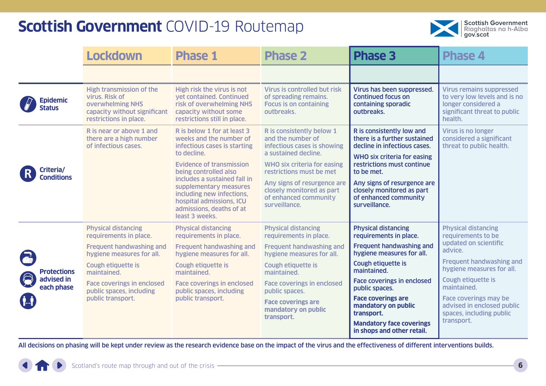

<span id="page-5-0"></span>

|                                  | <b>Lockdown</b>                                                                                                                 | <b>Phase 1</b>                                                                                                                                                | <b>Phase 2</b>                                                                                        | <b>Phase 3</b>                                                                                     | <b>Phase 4</b>                                                                                                                    |
|----------------------------------|---------------------------------------------------------------------------------------------------------------------------------|---------------------------------------------------------------------------------------------------------------------------------------------------------------|-------------------------------------------------------------------------------------------------------|----------------------------------------------------------------------------------------------------|-----------------------------------------------------------------------------------------------------------------------------------|
|                                  |                                                                                                                                 |                                                                                                                                                               |                                                                                                       |                                                                                                    |                                                                                                                                   |
| <b>Epidemic</b><br><b>Status</b> | <b>High transmission of the</b><br>virus. Risk of<br>overwhelming NHS<br>capacity without significant<br>restrictions in place. | High risk the virus is not<br>vet contained. Continued<br>risk of overwhelming NHS<br>capacity without some<br>restrictions still in place.                   | Virus is controlled but risk<br>of spreading remains.<br><b>Focus is on containing</b><br>outbreaks.  | Virus has been suppressed.<br><b>Continued focus on</b><br>containing sporadic<br>outbreaks.       | <b>Virus remains suppressed</b><br>to very low levels and is no<br>longer considered a<br>significant threat to public<br>health. |
|                                  | R is near or above 1 and<br>there are a high number<br>of infectious cases.                                                     | R is below 1 for at least 3<br>weeks and the number of<br>infectious cases is starting<br>to decline.                                                         | R is consistently below 1<br>and the number of<br>infectious cases is showing<br>a sustained decline. | R is consistently low and<br>there is a further sustained<br>decline in infectious cases.          | Virus is no longer<br>considered a significant<br>threat to public health.                                                        |
| Criteria/<br><b>Conditions</b>   |                                                                                                                                 | <b>Evidence of transmission</b><br>being controlled also                                                                                                      | <b>WHO six criteria for easing</b><br>restrictions must be met                                        | <b>WHO six criteria for easing</b><br>restrictions must continue<br>to be met.                     |                                                                                                                                   |
|                                  |                                                                                                                                 | includes a sustained fall in<br>supplementary measures<br>including new infections,<br>hospital admissions, ICU<br>admissions, deaths of at<br>least 3 weeks. | Any signs of resurgence are<br>closely monitored as part<br>of enhanced community<br>surveillance.    | Any signs of resurgence are<br>closely monitored as part<br>of enhanced community<br>surveillance. |                                                                                                                                   |
|                                  | <b>Physical distancing</b><br>requirements in place.                                                                            | <b>Physical distancing</b><br>requirements in place.                                                                                                          | <b>Physical distancing</b><br>requirements in place.                                                  | <b>Physical distancing</b><br>requirements in place.                                               | <b>Physical distancing</b><br>requirements to be                                                                                  |
| $\overline{\bullet}$             | <b>Frequent handwashing and</b><br>hygiene measures for all.                                                                    | <b>Frequent handwashing and</b><br>hygiene measures for all.                                                                                                  | <b>Frequent handwashing and</b><br>hygiene measures for all.                                          | <b>Frequent handwashing and</b><br>hygiene measures for all.                                       | updated on scientific<br>advice.                                                                                                  |
| <b>Protections</b>               | <b>Cough etiquette is</b><br>maintained.                                                                                        | <b>Cough etiquette is</b><br>maintained.                                                                                                                      | Cough etiquette is<br>maintained.                                                                     | Cough etiquette is<br>maintained.                                                                  | Frequent handwashing and<br>hygiene measures for all.                                                                             |
| advised in<br>each phase         | <b>Face coverings in enclosed</b><br>public spaces, including                                                                   | <b>Face coverings in enclosed</b><br>public spaces, including                                                                                                 | <b>Face coverings in enclosed</b><br>public spaces.                                                   | <b>Face coverings in enclosed</b><br>public spaces.                                                | Cough etiquette is<br>maintained.                                                                                                 |
|                                  | public transport.                                                                                                               | public transport.                                                                                                                                             | <b>Face coverings are</b><br>mandatory on public<br>transport.                                        | <b>Face coverings are</b><br>mandatory on public<br>transport.                                     | <b>Face coverings may be</b><br>advised in enclosed public<br>spaces, including public                                            |
|                                  |                                                                                                                                 |                                                                                                                                                               |                                                                                                       | <b>Mandatory face coverings</b><br>in shops and other retail.                                      | transport.                                                                                                                        |

All decisions on phasing will be kept under review as the research evidence base on the impact of the virus and the effectiveness of different interventions builds.

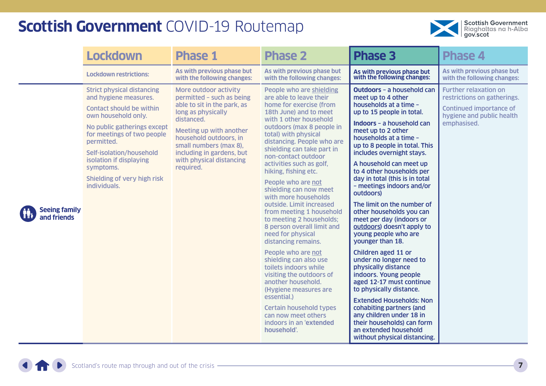

|                                     | <b>Lockdown</b>                                                                                                                                                                                                                                                                                                    | <b>Phase 1</b>                                                                                                                                                                                                                                                             | <b>Phase 2</b>                                                                                                                                                                                                                                                                                                                                                                                                                                                                                                                                                                                                                                                                                                                                                                                                                             | <b>Phase 3</b>                                                                                                                                                                                                                                                                                                                                                                                                                                                                                                                                                                                                                                                                                                                                                                                                                                                                                                  | <b>Phase 4</b>                                                                                                                     |
|-------------------------------------|--------------------------------------------------------------------------------------------------------------------------------------------------------------------------------------------------------------------------------------------------------------------------------------------------------------------|----------------------------------------------------------------------------------------------------------------------------------------------------------------------------------------------------------------------------------------------------------------------------|--------------------------------------------------------------------------------------------------------------------------------------------------------------------------------------------------------------------------------------------------------------------------------------------------------------------------------------------------------------------------------------------------------------------------------------------------------------------------------------------------------------------------------------------------------------------------------------------------------------------------------------------------------------------------------------------------------------------------------------------------------------------------------------------------------------------------------------------|-----------------------------------------------------------------------------------------------------------------------------------------------------------------------------------------------------------------------------------------------------------------------------------------------------------------------------------------------------------------------------------------------------------------------------------------------------------------------------------------------------------------------------------------------------------------------------------------------------------------------------------------------------------------------------------------------------------------------------------------------------------------------------------------------------------------------------------------------------------------------------------------------------------------|------------------------------------------------------------------------------------------------------------------------------------|
|                                     | <b>Lockdown restrictions:</b>                                                                                                                                                                                                                                                                                      | As with previous phase but<br>with the following changes:                                                                                                                                                                                                                  | As with previous phase but<br>with the following changes:                                                                                                                                                                                                                                                                                                                                                                                                                                                                                                                                                                                                                                                                                                                                                                                  | As with previous phase but<br>with the following changes:                                                                                                                                                                                                                                                                                                                                                                                                                                                                                                                                                                                                                                                                                                                                                                                                                                                       | As with previous phase but<br>with the following changes:                                                                          |
| <b>Seeing family</b><br>and friends | <b>Strict physical distancing</b><br>and hygiene measures.<br><b>Contact should be within</b><br>own household only.<br>No public gatherings except<br>for meetings of two people<br>permitted.<br>Self-isolation/household<br>isolation if displaying<br>symptoms.<br>Shielding of very high risk<br>individuals. | More outdoor activity<br>permitted - such as being<br>able to sit in the park, as<br>long as physically<br>distanced.<br>Meeting up with another<br>household outdoors, in<br>small numbers (max 8),<br>including in gardens, but<br>with physical distancing<br>required. | People who are shielding<br>are able to leave their<br>home for exercise (from<br>18th June) and to meet<br>with 1 other household<br>outdoors (max 8 people in<br>total) with physical<br>distancing. People who are<br>shielding can take part in<br>non-contact outdoor<br>activities such as golf,<br>hiking, fishing etc.<br>People who are not<br>shielding can now meet<br>with more households<br>outside. Limit increased<br>from meeting 1 household<br>to meeting 2 households;<br>8 person overall limit and<br>need for physical<br>distancing remains.<br>People who are not<br>shielding can also use<br>toilets indoors while<br>visiting the outdoors of<br>another household.<br>(Hygiene measures are<br>essential.)<br><b>Certain household types</b><br>can now meet others<br>indoors in an 'extended<br>household'. | <b>Outdoors - a household can</b><br>meet up to 4 other<br>households at a time -<br>up to 15 people in total.<br><b>Indoors</b> - a household can<br>meet up to 2 other<br>households at a time -<br>up to 8 people in total. This<br>includes overnight stays.<br>A household can meet up<br>to 4 other households per<br>day in total (this is in total<br>- meetings indoors and/or<br>outdoors)<br>The limit on the number of<br>other households you can<br>meet per day (indoors or<br>outdoors) doesn't apply to<br>young people who are<br>younger than 18.<br>Children aged 11 or<br>under no longer need to<br>physically distance<br>indoors. Young people<br>aged 12-17 must continue<br>to physically distance.<br><b>Extended Households: Non</b><br>cohabiting partners (and<br>any children under 18 in<br>their households) can form<br>an extended household<br>without physical distancing. | <b>Further relaxation on</b><br>restrictions on gatherings.<br>Continued importance of<br>hygiene and public health<br>emphasised. |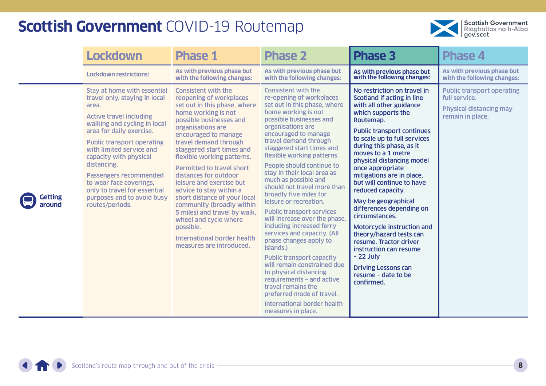

|                   | <b>Lockdown</b>                                                                                                                                                                                                                                                                                                                                                                                                            | <b>Phase 1</b>                                                                                                                                                                                                                                                                                                                                                                                                                                                                                                                                                                             | <b>Phase 2</b>                                                                                                                                                                                                                                                                                                                                                                                                                                                                                                                                                                                                                                                                                                                                                                                                                                                    | <b>Phase 3</b>                                                                                                                                                                                                                                                                                                                                                                                                                                                                                                                                                                                                                                    | <b>Phase 4</b>                                                                                           |
|-------------------|----------------------------------------------------------------------------------------------------------------------------------------------------------------------------------------------------------------------------------------------------------------------------------------------------------------------------------------------------------------------------------------------------------------------------|--------------------------------------------------------------------------------------------------------------------------------------------------------------------------------------------------------------------------------------------------------------------------------------------------------------------------------------------------------------------------------------------------------------------------------------------------------------------------------------------------------------------------------------------------------------------------------------------|-------------------------------------------------------------------------------------------------------------------------------------------------------------------------------------------------------------------------------------------------------------------------------------------------------------------------------------------------------------------------------------------------------------------------------------------------------------------------------------------------------------------------------------------------------------------------------------------------------------------------------------------------------------------------------------------------------------------------------------------------------------------------------------------------------------------------------------------------------------------|---------------------------------------------------------------------------------------------------------------------------------------------------------------------------------------------------------------------------------------------------------------------------------------------------------------------------------------------------------------------------------------------------------------------------------------------------------------------------------------------------------------------------------------------------------------------------------------------------------------------------------------------------|----------------------------------------------------------------------------------------------------------|
|                   | <b>Lockdown restrictions:</b>                                                                                                                                                                                                                                                                                                                                                                                              | As with previous phase but<br>with the following changes:                                                                                                                                                                                                                                                                                                                                                                                                                                                                                                                                  | As with previous phase but<br>with the following changes:                                                                                                                                                                                                                                                                                                                                                                                                                                                                                                                                                                                                                                                                                                                                                                                                         | As with previous phase but<br>with the following changes:                                                                                                                                                                                                                                                                                                                                                                                                                                                                                                                                                                                         | As with previous phase but<br>with the following changes:                                                |
| Getting<br>around | <b>Stay at home with essential</b><br>travel only, staying in local<br>area.<br><b>Active travel including</b><br>walking and cycling in local<br>area for daily exercise.<br><b>Public transport operating</b><br>with limited service and<br>capacity with physical<br>distancing.<br>Passengers recommended<br>to wear face coverings,<br>only to travel for essential<br>purposes and to avoid busy<br>routes/periods. | <b>Consistent with the</b><br>reopening of workplaces<br>set out in this phase, where<br>home working is not<br>possible businesses and<br>organisations are<br>encouraged to manage<br>travel demand through<br>staggered start times and<br>flexible working patterns.<br><b>Permitted to travel short</b><br>distances for outdoor<br>leisure and exercise but<br>advice to stay within a<br>short distance of your local<br>community (broadly within<br>5 miles) and travel by walk,<br>wheel and cycle where<br>possible.<br>International border health<br>measures are introduced. | <b>Consistent with the</b><br>re-opening of workplaces<br>set out in this phase, where<br>home working is not<br>possible businesses and<br>organisations are<br>encouraged to manage<br>travel demand through<br>staggered start times and<br>flexible working patterns.<br>People should continue to<br>stay in their local area as<br>much as possible and<br>should not travel more than<br>broadly five miles for<br>leisure or recreation.<br><b>Public transport services</b><br>will increase over the phase,<br>including increased ferry<br>services and capacity. (All<br>phase changes apply to<br>islands.)<br><b>Public transport capacity</b><br>will remain constrained due<br>to physical distancing<br>requirements - and active<br>travel remains the<br>preferred mode of travel.<br><b>International border health</b><br>measures in place. | No restriction on travel in<br>Scotland if acting in line<br>with all other guidance<br>which supports the<br>Routemap.<br><b>Public transport continues</b><br>to scale up to full services<br>during this phase, as it<br>moves to a 1 metre<br>physical distancing model<br>once appropriate<br>mitigations are in place,<br>but will continue to have<br>reduced capacity.<br>May be geographical<br>differences depending on<br>circumstances.<br>Motorcycle instruction and<br>theory/hazard tests can<br>resume. Tractor driver<br>instruction can resume<br>$-22$ July<br><b>Driving Lessons can</b><br>resume - date to be<br>confirmed. | <b>Public transport operating</b><br>full service.<br><b>Physical distancing may</b><br>remain in place. |

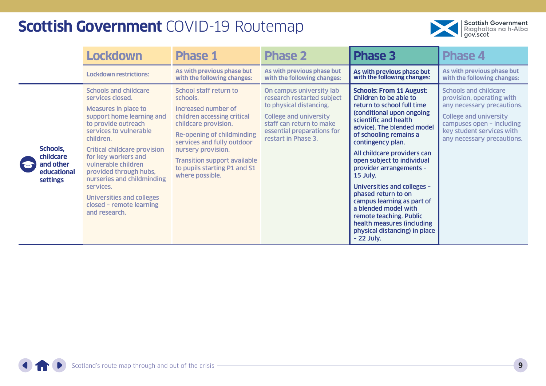

|                                                                      | <b>Lockdown</b>                                                                                                                                                                                                                                                                                                                                                                                                       | <b>Phase 1</b>                                                                                                                                                                                                                                                                               | <b>Phase 2</b>                                                                                                                                                                                      | <b>Phase 3</b>                                                                                                                                                                                                                                                                                                                                                                                                                                                                                                                                      | <b>Phase 4</b>                                                                                                                                                                                                   |
|----------------------------------------------------------------------|-----------------------------------------------------------------------------------------------------------------------------------------------------------------------------------------------------------------------------------------------------------------------------------------------------------------------------------------------------------------------------------------------------------------------|----------------------------------------------------------------------------------------------------------------------------------------------------------------------------------------------------------------------------------------------------------------------------------------------|-----------------------------------------------------------------------------------------------------------------------------------------------------------------------------------------------------|-----------------------------------------------------------------------------------------------------------------------------------------------------------------------------------------------------------------------------------------------------------------------------------------------------------------------------------------------------------------------------------------------------------------------------------------------------------------------------------------------------------------------------------------------------|------------------------------------------------------------------------------------------------------------------------------------------------------------------------------------------------------------------|
|                                                                      | <b>Lockdown restrictions:</b>                                                                                                                                                                                                                                                                                                                                                                                         | As with previous phase but<br>with the following changes:                                                                                                                                                                                                                                    | As with previous phase but<br>with the following changes:                                                                                                                                           | As with previous phase but<br>with the following changes:                                                                                                                                                                                                                                                                                                                                                                                                                                                                                           | As with previous phase but<br>with the following changes:                                                                                                                                                        |
| Schools,<br>childcare<br>and other<br>educational<br><b>settings</b> | <b>Schools and childcare</b><br>services closed.<br><b>Measures in place to</b><br>support home learning and<br>to provide outreach<br>services to vulnerable<br>children.<br><b>Critical childcare provision</b><br>for key workers and<br>vulnerable children<br>provided through hubs,<br>nurseries and childminding<br>services.<br><b>Universities and colleges</b><br>closed - remote learning<br>and research. | School staff return to<br>schools.<br>Increased number of<br>children accessing critical<br>childcare provision.<br>Re-opening of childminding<br>services and fully outdoor<br>nursery provision.<br><b>Transition support available</b><br>to pupils starting P1 and S1<br>where possible. | On campus university lab<br>research restarted subject<br>to physical distancing.<br><b>College and university</b><br>staff can return to make<br>essential preparations for<br>restart in Phase 3. | <b>Schools: From 11 August:</b><br>Children to be able to<br>return to school full time<br>(conditional upon ongoing<br>scientific and health<br>advice). The blended model<br>of schooling remains a<br>contingency plan.<br>All childcare providers can<br>open subject to individual<br>provider arrangements -<br>15 July.<br>Universities and colleges -<br>phased return to on<br>campus learning as part of<br>a blended model with<br>remote teaching. Public<br>health measures (including<br>physical distancing) in place<br>$-22$ July. | <b>Schools and childcare</b><br>provision, operating with<br>any necessary precautions.<br><b>College and university</b><br>campuses open - including<br>key student services with<br>any necessary precautions. |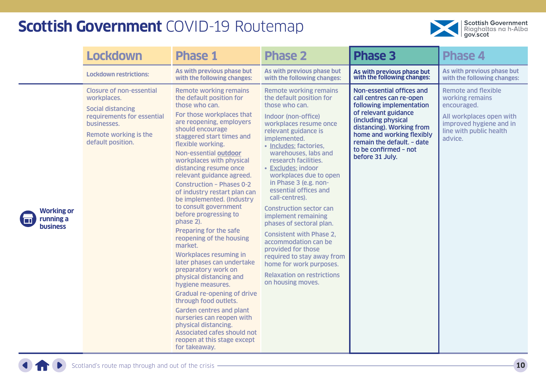

|                                                   | <b>Lockdown</b>                                                                                                                                                       | <b>Phase 1</b>                                                                                                                                                                                                                                                                                                                                                                                                                                                                                                                                                                                                                                                                                                                                                                                                                                                                                                                             | <b>Phase 2</b>                                                                                                                                                                                                                                                                                                                                                                                                                                                                                                                                                                                                                                              | <b>Phase 3</b>                                                                                                                                                                                                                                                       | <b>Phase 4</b>                                                                                                                                            |
|---------------------------------------------------|-----------------------------------------------------------------------------------------------------------------------------------------------------------------------|--------------------------------------------------------------------------------------------------------------------------------------------------------------------------------------------------------------------------------------------------------------------------------------------------------------------------------------------------------------------------------------------------------------------------------------------------------------------------------------------------------------------------------------------------------------------------------------------------------------------------------------------------------------------------------------------------------------------------------------------------------------------------------------------------------------------------------------------------------------------------------------------------------------------------------------------|-------------------------------------------------------------------------------------------------------------------------------------------------------------------------------------------------------------------------------------------------------------------------------------------------------------------------------------------------------------------------------------------------------------------------------------------------------------------------------------------------------------------------------------------------------------------------------------------------------------------------------------------------------------|----------------------------------------------------------------------------------------------------------------------------------------------------------------------------------------------------------------------------------------------------------------------|-----------------------------------------------------------------------------------------------------------------------------------------------------------|
|                                                   | <b>Lockdown restrictions:</b>                                                                                                                                         | As with previous phase but<br>with the following changes:                                                                                                                                                                                                                                                                                                                                                                                                                                                                                                                                                                                                                                                                                                                                                                                                                                                                                  | As with previous phase but<br>with the following changes:                                                                                                                                                                                                                                                                                                                                                                                                                                                                                                                                                                                                   | As with previous phase but<br>with the following changes:                                                                                                                                                                                                            | As with previous phase but<br>with the following changes:                                                                                                 |
| <b>Working or</b><br>running a<br><b>business</b> | <b>Closure of non-essential</b><br>workplaces.<br><b>Social distancing</b><br>requirements for essential<br>businesses.<br>Remote working is the<br>default position. | <b>Remote working remains</b><br>the default position for<br>those who can.<br>For those workplaces that<br>are reopening, employers<br>should encourage<br>staggered start times and<br>flexible working.<br>Non-essential outdoor<br>workplaces with physical<br>distancing resume once<br>relevant guidance agreed.<br><b>Construction - Phases 0-2</b><br>of industry restart plan can<br>be implemented. (Industry<br>to consult government<br>before progressing to<br>phase 2).<br>Preparing for the safe<br>reopening of the housing<br>market.<br><b>Workplaces resuming in</b><br>later phases can undertake<br>preparatory work on<br>physical distancing and<br>hygiene measures.<br><b>Gradual re-opening of drive</b><br>through food outlets.<br><b>Garden centres and plant</b><br>nurseries can reopen with<br>physical distancing.<br><b>Associated cafes should not</b><br>reopen at this stage except<br>for takeaway. | <b>Remote working remains</b><br>the default position for<br>those who can.<br>Indoor (non-office)<br>workplaces resume once<br>relevant guidance is<br>implemented.<br>· Includes: factories,<br>warehouses, labs and<br>research facilities.<br>• Excludes: indoor<br>workplaces due to open<br>in Phase 3 (e.g. non-<br>essential offices and<br>call-centres).<br><b>Construction sector can</b><br>implement remaining<br>phases of sectoral plan.<br><b>Consistent with Phase 2.</b><br>accommodation can be<br>provided for those<br>required to stay away from<br>home for work purposes.<br><b>Relaxation on restrictions</b><br>on housing moves. | Non-essential offices and<br>call centres can re-open<br>following implementation<br>of relevant guidance<br>(including physical<br>distancing). Working from<br>home and working flexibly<br>remain the default. - date<br>to be confirmed - not<br>before 31 July. | <b>Remote and flexible</b><br>working remains<br>encouraged.<br>All workplaces open with<br>improved hygiene and in<br>line with public health<br>advice. |

**THE R**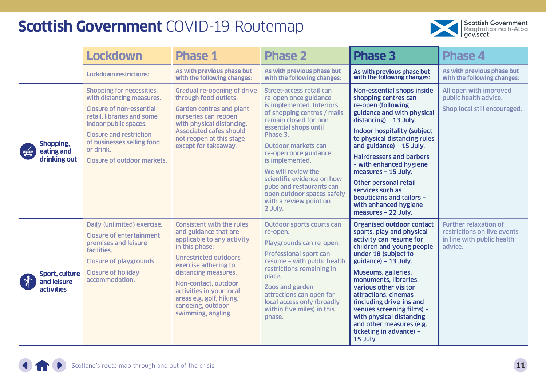

|                                                                                         | <b>Lockdown</b>                                                                                                                                                                                                                                                     | <b>Phase 1</b>                                                                                                                                                                                                                                                                                                       | <b>Phase 2</b>                                                                                                                                                                                                                                                                                                                                                                                                   | <b>Phase 3</b>                                                                                                                                                                                                                                                                                                                                                                                                                                    | <b>Phase 4</b>                                                                                       |
|-----------------------------------------------------------------------------------------|---------------------------------------------------------------------------------------------------------------------------------------------------------------------------------------------------------------------------------------------------------------------|----------------------------------------------------------------------------------------------------------------------------------------------------------------------------------------------------------------------------------------------------------------------------------------------------------------------|------------------------------------------------------------------------------------------------------------------------------------------------------------------------------------------------------------------------------------------------------------------------------------------------------------------------------------------------------------------------------------------------------------------|---------------------------------------------------------------------------------------------------------------------------------------------------------------------------------------------------------------------------------------------------------------------------------------------------------------------------------------------------------------------------------------------------------------------------------------------------|------------------------------------------------------------------------------------------------------|
|                                                                                         | <b>Lockdown restrictions:</b>                                                                                                                                                                                                                                       | As with previous phase but<br>with the following changes:                                                                                                                                                                                                                                                            | As with previous phase but<br>with the following changes:                                                                                                                                                                                                                                                                                                                                                        | As with previous phase but<br>with the following changes:                                                                                                                                                                                                                                                                                                                                                                                         | As with previous phase but<br>with the following changes:                                            |
| Shopping,<br>eating and<br>$\overline{\overline{\mathbb{H}\mathbb{H}}}$<br>drinking out | Shopping for necessities,<br>with distancing measures.<br><b>Closure of non-essential</b><br>retail, libraries and some<br>indoor public spaces.<br><b>Closure and restriction</b><br>of businesses selling food<br>or drink.<br><b>Closure of outdoor markets.</b> | <b>Gradual re-opening of drive</b><br>through food outlets.<br><b>Garden centres and plant</b><br>nurseries can reopen<br>with physical distancing.<br><b>Associated cafes should</b><br>not reopen at this stage<br>except for takeaway.                                                                            | <b>Street-access retail can</b><br>re-open once guidance<br>is implemented. Interiors<br>of shopping centres / malls<br>remain closed for non-<br>essential shops until<br>Phase 3.<br><b>Outdoor markets can</b><br>re-open once guidance<br>is implemented.<br>We will review the<br>scientific evidence on how<br>pubs and restaurants can<br>open outdoor spaces safely<br>with a review point on<br>2 July. | Non-essential shops inside<br>shopping centres can<br>re-open (following<br>guidance and with physical<br>distancing) - 13 July.<br><b>Indoor hospitality (subject</b><br>to physical distancing rules<br>and guidance) - 15 July.<br><b>Hairdressers and barbers</b><br>- with enhanced hygiene<br>measures - 15 July.<br>Other personal retail<br>services such as<br>beauticians and tailors -<br>with enhanced hygiene<br>measures - 22 July. | All open with improved<br>public health advice.<br>Shop local still encouraged.                      |
| <b>Sport, culture</b><br>and leisure<br><b>activities</b>                               | Daily (unlimited) exercise.<br><b>Closure of entertainment</b><br>premises and leisure<br>facilities.<br><b>Closure of playgrounds.</b><br><b>Closure of holiday</b><br>accommodation.                                                                              | <b>Consistent with the rules</b><br>and guidance that are<br>applicable to any activity<br>in this phase:<br><b>Unrestricted outdoors</b><br>exercise adhering to<br>distancing measures.<br>Non-contact, outdoor<br>activities in your local<br>areas e.g. golf, hiking,<br>canoeing, outdoor<br>swimming, angling. | <b>Outdoor sports courts can</b><br>re-open.<br>Playgrounds can re-open.<br><b>Professional sport can</b><br>resume - with public health<br>restrictions remaining in<br>place.<br>Zoos and garden<br>attractions can open for<br>local access only (broadly<br>within five miles) in this<br>phase.                                                                                                             | <b>Organised outdoor contact</b><br>sports, play and physical<br>activity can resume for<br>children and young people<br>under 18 (subject to<br>guidance) - 13 July.<br>Museums, galleries,<br>monuments, libraries,<br>various other visitor<br>attractions, cinemas<br>(including drive-ins and<br>venues screening films) -<br>with physical distancing<br>and other measures (e.g.<br>ticketing in advance) -<br>15 July.                    | <b>Further relaxation of</b><br>restrictions on live events<br>in line with public health<br>advice. |

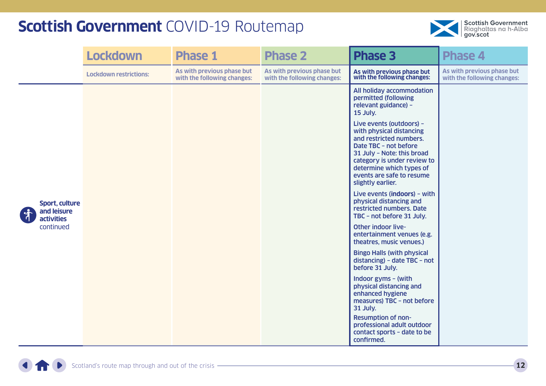

|                                                    | <b>Lockdown</b>               | <b>Phase 1</b>                                            | <b>Phase 2</b>                                            | <b>Phase 3</b>                                                                                                                                                                                                                                      | <b>Phase 4</b>                                            |
|----------------------------------------------------|-------------------------------|-----------------------------------------------------------|-----------------------------------------------------------|-----------------------------------------------------------------------------------------------------------------------------------------------------------------------------------------------------------------------------------------------------|-----------------------------------------------------------|
|                                                    | <b>Lockdown restrictions:</b> | As with previous phase but<br>with the following changes: | As with previous phase but<br>with the following changes: | As with previous phase but<br>with the following changes:                                                                                                                                                                                           | As with previous phase but<br>with the following changes: |
|                                                    |                               |                                                           |                                                           | All holiday accommodation<br>permitted (following<br>relevant guidance) -<br>15 July.                                                                                                                                                               |                                                           |
|                                                    |                               |                                                           |                                                           | Live events (outdoors) -<br>with physical distancing<br>and restricted numbers.<br>Date TBC - not before<br>31 July - Note: this broad<br>category is under review to<br>determine which types of<br>events are safe to resume<br>slightly earlier. |                                                           |
| Sport, culture<br>and leisure<br><b>activities</b> |                               |                                                           |                                                           | Live events (indoors) - with<br>physical distancing and<br>restricted numbers. Date<br>TBC - not before 31 July.                                                                                                                                    |                                                           |
| continued                                          |                               |                                                           |                                                           | Other indoor live-<br>entertainment venues (e.g.<br>theatres, music venues.)                                                                                                                                                                        |                                                           |
|                                                    |                               |                                                           |                                                           | <b>Bingo Halls (with physical</b><br>distancing) - date TBC - not<br>before 31 July.                                                                                                                                                                |                                                           |
|                                                    |                               |                                                           |                                                           | Indoor gyms - (with<br>physical distancing and<br>enhanced hygiene<br>measures) TBC - not before<br>31 July.                                                                                                                                        |                                                           |
|                                                    |                               |                                                           |                                                           | <b>Resumption of non-</b><br>professional adult outdoor<br>contact sports - date to be<br>confirmed.                                                                                                                                                |                                                           |

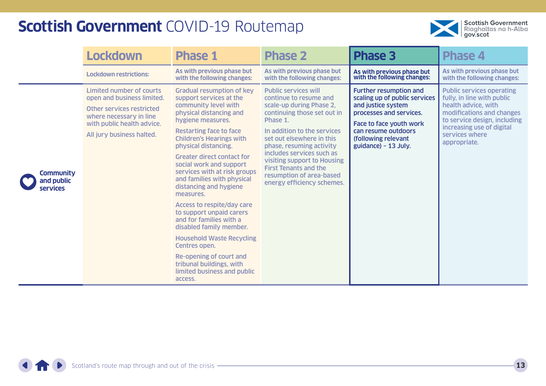

|                                                   | <b>Lockdown</b>                                                                                                                                                                  | <b>Phase 1</b>                                                                                                                                                                                                                                                                                                                                                                                                                                                                                                                                                                                                                                                                     | <b>Phase 2</b>                                                                                                                                                                                                                                                                                                                                                             | <b>Phase 3</b>                                                                                                                                                                                                   | <b>Phase 4</b>                                                                                                                                                                                                    |
|---------------------------------------------------|----------------------------------------------------------------------------------------------------------------------------------------------------------------------------------|------------------------------------------------------------------------------------------------------------------------------------------------------------------------------------------------------------------------------------------------------------------------------------------------------------------------------------------------------------------------------------------------------------------------------------------------------------------------------------------------------------------------------------------------------------------------------------------------------------------------------------------------------------------------------------|----------------------------------------------------------------------------------------------------------------------------------------------------------------------------------------------------------------------------------------------------------------------------------------------------------------------------------------------------------------------------|------------------------------------------------------------------------------------------------------------------------------------------------------------------------------------------------------------------|-------------------------------------------------------------------------------------------------------------------------------------------------------------------------------------------------------------------|
|                                                   | <b>Lockdown restrictions:</b>                                                                                                                                                    | As with previous phase but<br>with the following changes:                                                                                                                                                                                                                                                                                                                                                                                                                                                                                                                                                                                                                          | As with previous phase but<br>with the following changes:                                                                                                                                                                                                                                                                                                                  | As with previous phase but<br>with the following changes:                                                                                                                                                        | As with previous phase but<br>with the following changes:                                                                                                                                                         |
| <b>Community</b><br>and public<br><b>services</b> | <b>Limited number of courts</b><br>open and business limited.<br>Other services restricted<br>where necessary in line<br>with public health advice.<br>All jury business halted. | <b>Gradual resumption of key</b><br>support services at the<br>community level with<br>physical distancing and<br>hygiene measures.<br><b>Restarting face to face</b><br><b>Children's Hearings with</b><br>physical distancing.<br><b>Greater direct contact for</b><br>social work and support<br>services with at risk groups<br>and families with physical<br>distancing and hygiene<br>measures.<br><b>Access to respite/day care</b><br>to support unpaid carers<br>and for families with a<br>disabled family member.<br><b>Household Waste Recycling</b><br>Centres open.<br>Re-opening of court and<br>tribunal buildings, with<br>limited business and public<br>access. | <b>Public services will</b><br>continue to resume and<br>scale-up during Phase 2,<br>continuing those set out in<br>Phase 1.<br>In addition to the services<br>set out elsewhere in this<br>phase, resuming activity<br>includes services such as<br>visiting support to Housing<br><b>First Tenants and the</b><br>resumption of area-based<br>energy efficiency schemes. | <b>Further resumption and</b><br>scaling up of public services<br>and justice system<br>processes and services.<br>Face to face youth work<br>can resume outdoors<br>(following relevant<br>guidance) - 13 July. | <b>Public services operating</b><br>fully, in line with public<br>health advice, with<br>modifications and changes<br>to service design, including<br>increasing use of digital<br>services where<br>appropriate. |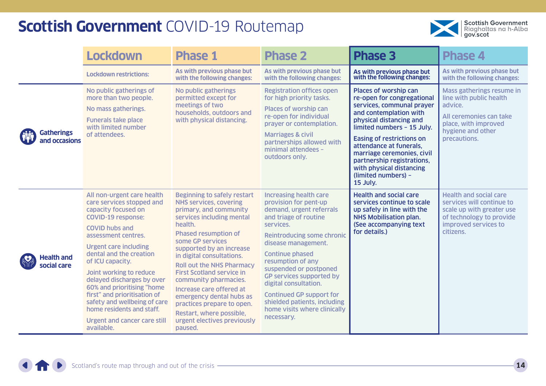

|                                    | <b>Lockdown</b>                                                                                                                                                                                                                                                                                                                                                                                                                                                                     | <b>Phase 1</b>                                                                                                                                                                                                                                                                                                                                                                                                                                                                                                 | <b>Phase 2</b>                                                                                                                                                                                                                                                                                                                                                                                                                      | <b>Phase 3</b>                                                                                                                                                                                                                                                                                                                                                | <b>Phase 4</b>                                                                                                                                           |
|------------------------------------|-------------------------------------------------------------------------------------------------------------------------------------------------------------------------------------------------------------------------------------------------------------------------------------------------------------------------------------------------------------------------------------------------------------------------------------------------------------------------------------|----------------------------------------------------------------------------------------------------------------------------------------------------------------------------------------------------------------------------------------------------------------------------------------------------------------------------------------------------------------------------------------------------------------------------------------------------------------------------------------------------------------|-------------------------------------------------------------------------------------------------------------------------------------------------------------------------------------------------------------------------------------------------------------------------------------------------------------------------------------------------------------------------------------------------------------------------------------|---------------------------------------------------------------------------------------------------------------------------------------------------------------------------------------------------------------------------------------------------------------------------------------------------------------------------------------------------------------|----------------------------------------------------------------------------------------------------------------------------------------------------------|
|                                    | <b>Lockdown restrictions:</b>                                                                                                                                                                                                                                                                                                                                                                                                                                                       | As with previous phase but<br>with the following changes:                                                                                                                                                                                                                                                                                                                                                                                                                                                      | As with previous phase but<br>with the following changes:                                                                                                                                                                                                                                                                                                                                                                           | As with previous phase but<br>with the following changes:                                                                                                                                                                                                                                                                                                     | As with previous phase but<br>with the following changes:                                                                                                |
| <b>Gatherings</b><br>and occasions | No public gatherings of<br>more than two people.<br>No mass gatherings.<br><b>Funerals take place</b><br>with limited number<br>of attendees.                                                                                                                                                                                                                                                                                                                                       | No public gatherings<br>permitted except for<br>meetings of two<br>households, outdoors and<br>with physical distancing.                                                                                                                                                                                                                                                                                                                                                                                       | <b>Registration offices open</b><br>for high priority tasks.<br>Places of worship can<br>re-open for individual<br>prayer or contemplation.<br><b>Marriages &amp; civil</b><br>partnerships allowed with<br>minimal attendees -<br>outdoors only.                                                                                                                                                                                   | Places of worship can<br>re-open for congregational<br>services, communal prayer<br>and contemplation with<br>physical distancing and<br>limited numbers - 15 July.<br><b>Easing of restrictions on</b><br>attendance at funerals.<br>marriage ceremonies, civil<br>partnership registrations,<br>with physical distancing<br>(limited numbers) -<br>15 July. | Mass gatherings resume in<br>line with public health<br>advice.<br>All ceremonies can take<br>place, with improved<br>hygiene and other<br>precautions.  |
| <b>Health and</b><br>social care   | All non-urgent care health<br>care services stopped and<br>capacity focused on<br><b>COVID-19 response:</b><br><b>COVID hubs and</b><br>assessment centres.<br><b>Urgent care including</b><br>dental and the creation<br>of ICU capacity.<br>Joint working to reduce<br>delayed discharges by over<br>60% and prioritising "home<br>first" and prioritisation of<br>safety and wellbeing of care<br>home residents and staff.<br><b>Urgent and cancer care still</b><br>available. | <b>Beginning to safely restart</b><br><b>NHS services, covering</b><br>primary, and community<br>services including mental<br>health.<br><b>Phased resumption of</b><br>some GP services<br>supported by an increase<br>in digital consultations.<br><b>Roll out the NHS Pharmacy</b><br><b>First Scotland service in</b><br>community pharmacies.<br>Increase care offered at<br>emergency dental hubs as<br>practices prepare to open.<br>Restart, where possible,<br>urgent electives previously<br>paused. | <b>Increasing health care</b><br>provision for pent-up<br>demand, urgent referrals<br>and triage of routine<br>services.<br><b>Reintroducing some chronic</b><br>disease management.<br><b>Continue phased</b><br>resumption of any<br>suspended or postponed<br>GP services supported by<br>digital consultation.<br><b>Continued GP support for</b><br>shielded patients, including<br>home visits where clinically<br>necessary. | <b>Health and social care</b><br>services continue to scale<br>up safely in line with the<br><b>NHS Mobilisation plan.</b><br>(See accompanying text<br>for details.)                                                                                                                                                                                         | <b>Health and social care</b><br>services will continue to<br>scale up with greater use<br>of technology to provide<br>improved services to<br>citizens. |

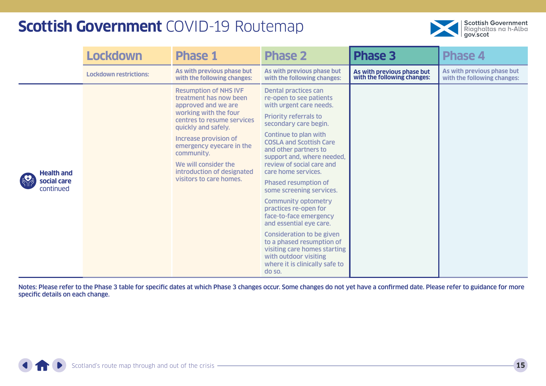

|                                               | <b>Lockdown</b>               | <b>Phase 1</b>                                                                                                                                                                                                                                                                                                  | <b>Phase 2</b>                                                                                                                                                                                                                                                                                                                                                                                                                                                                                                                                                                                                                                         | <b>Phase 3</b>                                            | <b>Phase 4</b>                                            |
|-----------------------------------------------|-------------------------------|-----------------------------------------------------------------------------------------------------------------------------------------------------------------------------------------------------------------------------------------------------------------------------------------------------------------|--------------------------------------------------------------------------------------------------------------------------------------------------------------------------------------------------------------------------------------------------------------------------------------------------------------------------------------------------------------------------------------------------------------------------------------------------------------------------------------------------------------------------------------------------------------------------------------------------------------------------------------------------------|-----------------------------------------------------------|-----------------------------------------------------------|
|                                               | <b>Lockdown restrictions:</b> | As with previous phase but<br>with the following changes:                                                                                                                                                                                                                                                       | As with previous phase but<br>with the following changes:                                                                                                                                                                                                                                                                                                                                                                                                                                                                                                                                                                                              | As with previous phase but<br>with the following changes: | As with previous phase but<br>with the following changes: |
| <b>Health and</b><br>social care<br>continued |                               | <b>Resumption of NHS IVF</b><br>treatment has now been<br>approved and we are<br>working with the four<br>centres to resume services<br>quickly and safely.<br>Increase provision of<br>emergency eyecare in the<br>community.<br>We will consider the<br>introduction of designated<br>visitors to care homes. | Dental practices can<br>re-open to see patients<br>with urgent care needs.<br><b>Priority referrals to</b><br>secondary care begin.<br>Continue to plan with<br><b>COSLA and Scottish Care</b><br>and other partners to<br>support and, where needed,<br>review of social care and<br>care home services.<br><b>Phased resumption of</b><br>some screening services.<br><b>Community optometry</b><br>practices re-open for<br>face-to-face emergency<br>and essential eye care.<br><b>Consideration to be given</b><br>to a phased resumption of<br>visiting care homes starting<br>with outdoor visiting<br>where it is clinically safe to<br>do so. |                                                           |                                                           |

Notes: Please refer to the Phase 3 table for specific dates at which Phase 3 changes occur. Some changes do not yet have a confirmed date. Please refer to guidance for more specific details on each change.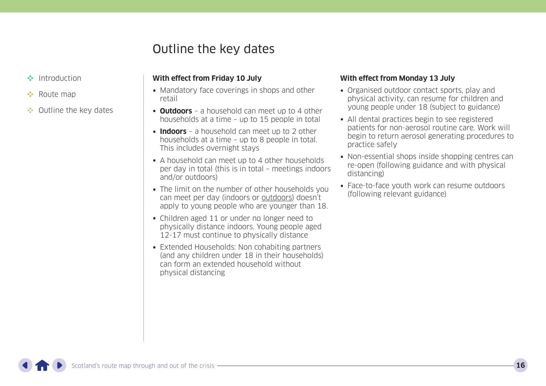### Outline the key dates

- <span id="page-15-0"></span>[Introduction](#page-1-0)
- **••** [Route map](#page-5-0)
- •• Outline the key dates

#### **With effect from Friday 10 July**

- Mandatory face coverings in shops and other retail
- **Outdoors** a household can meet up to 4 other households at a time – up to 15 people in total
- **Indoors** a household can meet up to 2 other households at a time – up to 8 people in total. This includes overnight stays
- A household can meet up to 4 other households per day in total (this is in total – meetings indoors and/or outdoors)
- The limit on the number of other households you can meet per day (indoors or outdoors) doesn't apply to young people who are younger than 18.
- Children aged 11 or under no longer need to physically distance indoors. Young people aged 12-17 must continue to physically distance
- Extended Households: Non cohabiting partners (and any children under 18 in their households) can form an extended household without physical distancing

#### **With effect from Monday 13 July**

- Organised outdoor contact sports, play and physical activity, can resume for children and young people under 18 (subject to guidance)
- All dental practices begin to see registered patients for non-aerosol routine care. Work will begin to return aerosol generating procedures to practice safely
- Non-essential shops inside shopping centres can re-open (following guidance and with physical distancing)
- Face-to-face youth work can resume outdoors (following relevant guidance)

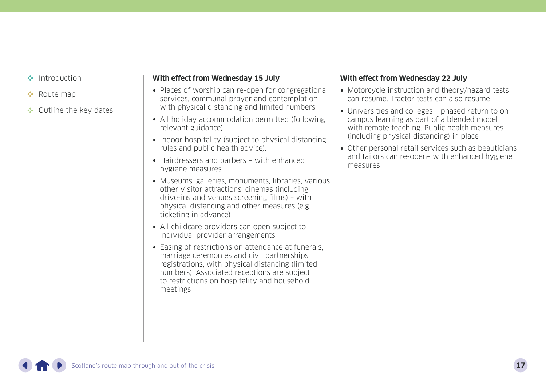- [Introduction](#page-1-0)
- **••** [Route map](#page-5-0)
- •• [Outline the key dates](#page-15-0)

#### **With effect from Wednesday 15 July**

- Places of worship can re-open for congregational services, communal prayer and contemplation with physical distancing and limited numbers
- All holiday accommodation permitted (following relevant guidance)
- Indoor hospitality (subject to physical distancing rules and public health advice).
- Hairdressers and barbers with enhanced hygiene measures
- Museums, galleries, monuments, libraries, various other visitor attractions, cinemas (including drive-ins and venues screening films) – with physical distancing and other measures (e.g. ticketing in advance)
- All childcare providers can open subject to individual provider arrangements
- Easing of restrictions on attendance at funerals. marriage ceremonies and civil partnerships registrations, with physical distancing (limited numbers). Associated receptions are subject to restrictions on hospitality and household meetings

#### **With effect from Wednesday 22 July**

- Motorcycle instruction and theory/hazard tests can resume. Tractor tests can also resume
- Universities and colleges phased return to on campus learning as part of a blended model with remote teaching. Public health measures (including physical distancing) in place
- Other personal retail services such as beauticians and tailors can re-open– with enhanced hygiene measures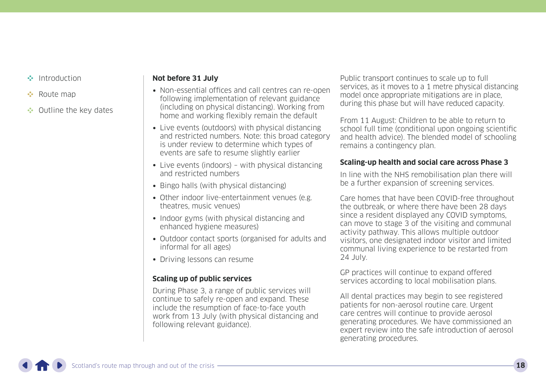- [Introduction](#page-1-0)
- **[Route map](#page-5-0)**
- •• [Outline the key dates](#page-15-0)

#### **Not before 31 July**

- Non-essential offices and call centres can re-open following implementation of relevant guidance (including on physical distancing). Working from home and working flexibly remain the default
- Live events (outdoors) with physical distancing and restricted numbers. Note: this broad category is under review to determine which types of events are safe to resume slightly earlier
- Live events (indoors) with physical distancing and restricted numbers
- Bingo halls (with physical distancing)
- Other indoor live-entertainment venues (e.g. theatres, music venues)
- Indoor gyms (with physical distancing and enhanced hygiene measures)
- Outdoor contact sports (organised for adults and informal for all ages)
- Driving lessons can resume

### **Scaling up of public services**

During Phase 3, a range of public services will continue to safely re-open and expand. These include the resumption of face-to-face youth work from 13 July (with physical distancing and following relevant guidance).

Public transport continues to scale up to full services, as it moves to a 1 metre physical distancing model once appropriate mitigations are in place, during this phase but will have reduced capacity.

From 11 August: Children to be able to return to school full time (conditional upon ongoing scientific and health advice). The blended model of schooling remains a contingency plan.

#### **Scaling-up health and social care across Phase 3**

In line with the NHS remobilisation plan there will be a further expansion of screening services.

Care homes that have been COVID-free throughout the outbreak, or where there have been 28 days since a resident displayed any COVID symptoms, can move to stage 3 of the visiting and communal activity pathway. This allows multiple outdoor visitors, one designated indoor visitor and limited communal living experience to be restarted from 24 July.

GP practices will continue to expand offered services according to local mobilisation plans.

All dental practices may begin to see registered patients for non-aerosol routine care. Urgent care centres will continue to provide aerosol generating procedures. We have commissioned an expert review into the safe introduction of aerosol generating procedures.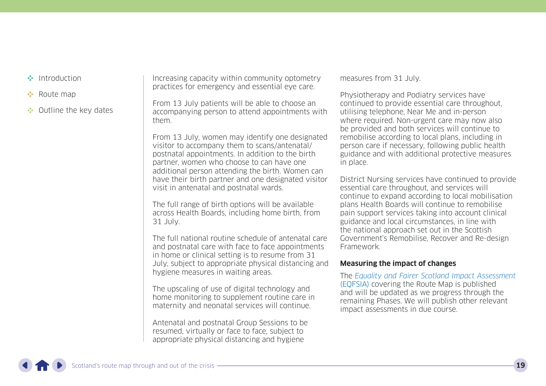- [Introduction](#page-1-0)
- **[Route map](#page-5-0)**
- •• [Outline the key dates](#page-15-0)

Increasing capacity within community optometry practices for emergency and essential eye care.

From 13 July patients will be able to choose an accompanying person to attend appointments with them.

From 13 July, women may identify one designated visitor to accompany them to scans/antenatal/ postnatal appointments. In addition to the birth partner, women who choose to can have one additional person attending the birth. Women can have their birth partner and one designated visitor visit in antenatal and postnatal wards.

The full range of birth options will be available across Health Boards, including home birth, from 31 July.

The full national routine schedule of antenatal care and postnatal care with face to face appointments in home or clinical setting is to resume from 31 July, subject to appropriate physical distancing and hygiene measures in waiting areas.

The upscaling of use of digital technology and home monitoring to supplement routine care in maternity and neonatal services will continue.

Antenatal and postnatal Group Sessions to be resumed, virtually or face to face, subject to appropriate physical distancing and hygiene

measures from 31 July.

Physiotherapy and Podiatry services have continued to provide essential care throughout, utilising telephone, Near Me and in-person where required. Non-urgent care may now also be provided and both services will continue to remobilise according to local plans, including in person care if necessary, following public health guidance and with additional protective measures in place.

District Nursing services have continued to provide essential care throughout, and services will continue to expand according to local mobilisation plans Health Boards will continue to remobilise pain support services taking into account clinical guidance and local circumstances, in line with the national approach set out in the Scottish Government's Remobilise, Recover and Re-design Framework.

#### **Measuring the impact of changes**

The [Equality and Fairer Scotland Impact Assessment](https://www.gov.scot/publications/equality-fairer-scotland-impact-assessment-evidence-gathered-scotlands-route-map-through-out-crisis/) [\(EQFSIA\)](https://www.gov.scot/publications/equality-fairer-scotland-impact-assessment-evidence-gathered-scotlands-route-map-through-out-crisis/) covering the Route Map is published and will be updated as we progress through the remaining Phases. We will publish other relevant impact assessments in due course.